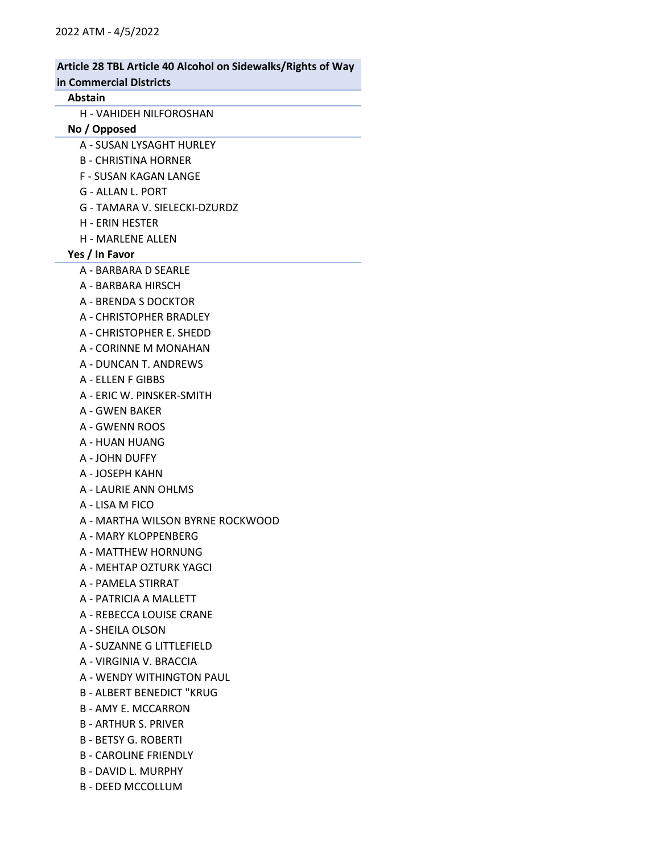# Article 28 TBL Article 40 Alcohol on Sidewalks/Rights of Way

## in Commercial Districts

### Abstain

H - VAHIDEH NILFOROSHAN

### No / Opposed

- A SUSAN LYSAGHT HURLEY
- B CHRISTINA HORNER
- F SUSAN KAGAN LANGE
- G ALLAN L. PORT
- G TAMARA V. SIELECKI-DZURDZ
- H ERIN HESTER
- H MARLENE ALLEN

#### Yes / In Favor

- A BARBARA D SEARLE
- A BARBARA HIRSCH
- A BRENDA S DOCKTOR
- A CHRISTOPHER BRADLEY
- A CHRISTOPHER E. SHEDD
- A CORINNE M MONAHAN
- A DUNCAN T. ANDREWS
- A ELLEN F GIBBS
- A ERIC W. PINSKER-SMITH
- A GWEN BAKER
- A GWENN ROOS
- A HUAN HUANG
- A JOHN DUFFY
- A JOSEPH KAHN
- A LAURIE ANN OHLMS
- A LISA M FICO
- A MARTHA WILSON BYRNE ROCKWOOD
- A MARY KLOPPENBERG
- A MATTHEW HORNUNG
- A MEHTAP OZTURK YAGCI
- A PAMELA STIRRAT
- A PATRICIA A MALLETT
- A REBECCA LOUISE CRANE
- A SHEILA OLSON
- A SUZANNE G LITTLEFIELD
- A VIRGINIA V. BRACCIA
- A WENDY WITHINGTON PAUL
- B ALBERT BENEDICT "KRUG
- B AMY E. MCCARRON
- B ARTHUR S. PRIVER
- B BETSY G. ROBERTI
- B CAROLINE FRIENDLY
- B DAVID L. MURPHY
- B DEED MCCOLLUM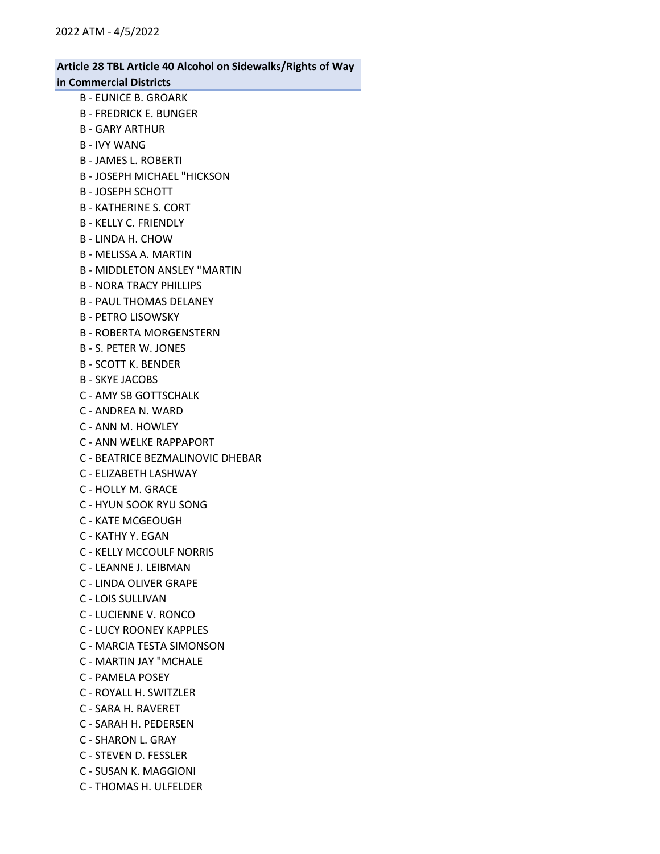# Article 28 TBL Article 40 Alcohol on Sidewalks/Rights of Way

### in Commercial Districts

- B EUNICE B. GROARK
- B FREDRICK E. BUNGER
- B GARY ARTHUR
- B IVY WANG
- B JAMES L. ROBERTI
- B JOSEPH MICHAEL "HICKSON
- B JOSEPH SCHOTT
- B KATHERINE S. CORT
- B KELLY C. FRIENDLY
- B LINDA H. CHOW
- B MELISSA A. MARTIN
- B MIDDLETON ANSLEY "MARTIN
- B NORA TRACY PHILLIPS
- B PAUL THOMAS DELANEY
- B PETRO LISOWSKY
- B ROBERTA MORGENSTERN
- B S. PETER W. JONES
- B SCOTT K. BENDER
- B SKYE JACOBS
- C AMY SB GOTTSCHALK
- C ANDREA N. WARD
- C ANN M. HOWLEY
- C ANN WELKE RAPPAPORT
- C BEATRICE BEZMALINOVIC DHEBAR
- C ELIZABETH LASHWAY
- C HOLLY M. GRACE
- C HYUN SOOK RYU SONG
- C KATE MCGEOUGH
- C KATHY Y. EGAN
- C KELLY MCCOULF NORRIS
- C LEANNE J. LEIBMAN
- C LINDA OLIVER GRAPE
- C LOIS SULLIVAN
- C LUCIENNE V. RONCO
- C LUCY ROONEY KAPPLES
- C MARCIA TESTA SIMONSON
- C MARTIN JAY "MCHALE
- C PAMELA POSEY
- C ROYALL H. SWITZLER
- C SARA H. RAVERET
- C SARAH H. PEDERSEN
- C SHARON L. GRAY
- C STEVEN D. FESSLER
- C SUSAN K. MAGGIONI
- C THOMAS H. ULFELDER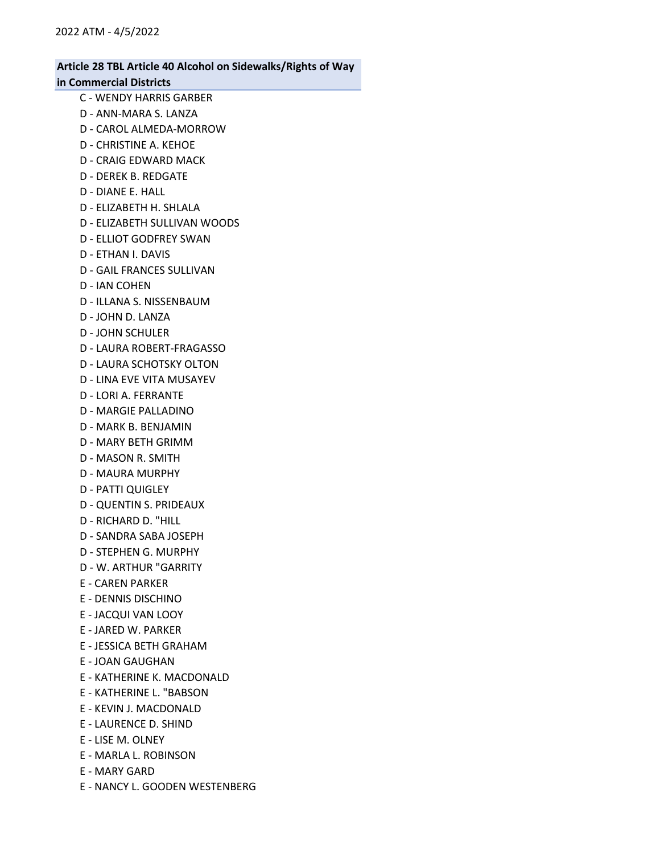# Article 28 TBL Article 40 Alcohol on Sidewalks/Rights of Way in Commercial Districts

- C WENDY HARRIS GARBER
- D ANN-MARA S. LANZA
- D CAROL ALMEDA-MORROW
- D CHRISTINE A. KEHOE
- D CRAIG EDWARD MACK
- D DEREK B. REDGATE
- D DIANE E. HALL
- D ELIZABETH H. SHLALA
- D ELIZABETH SULLIVAN WOODS
- D ELLIOT GODFREY SWAN
- D ETHAN I. DAVIS
- D GAIL FRANCES SULLIVAN
- D IAN COHEN
- D ILLANA S. NISSENBAUM
- D JOHN D. LANZA
- D JOHN SCHULER
- D LAURA ROBERT-FRAGASSO
- D LAURA SCHOTSKY OLTON
- D LINA EVE VITA MUSAYEV
- D LORI A. FERRANTE
- D MARGIE PALLADINO
- D MARK B. BENJAMIN
- D MARY BETH GRIMM
- D MASON R. SMITH
- D MAURA MURPHY
- D PATTI QUIGLEY
- D QUENTIN S. PRIDEAUX
- D RICHARD D. "HILL
- D SANDRA SABA JOSEPH
- D STEPHEN G. MURPHY
- D W. ARTHUR "GARRITY
- E CAREN PARKER
- E DENNIS DISCHINO
- E JACQUI VAN LOOY
- E JARED W. PARKER
- E JESSICA BETH GRAHAM
- E JOAN GAUGHAN
- E KATHERINE K. MACDONALD
- E KATHERINE L. "BABSON
- E KEVIN J. MACDONALD
- E LAURENCE D. SHIND
- E LISE M. OLNEY
- E MARLA L. ROBINSON
- E MARY GARD
- E NANCY L. GOODEN WESTENBERG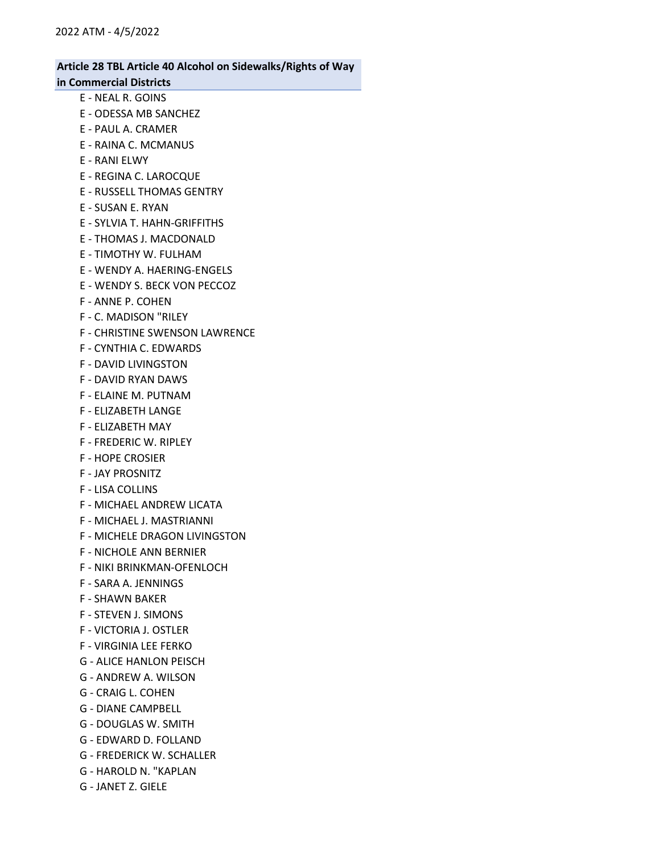# Article 28 TBL Article 40 Alcohol on Sidewalks/Rights of Way in Commercial Districts

- E NEAL R. GOINS
- E ODESSA MB SANCHEZ
- E PAUL A. CRAMER
- E RAINA C. MCMANUS
- E RANI ELWY
- E REGINA C. LAROCQUE
- E RUSSELL THOMAS GENTRY
- E SUSAN E. RYAN
- E SYLVIA T. HAHN-GRIFFITHS
- E THOMAS J. MACDONALD
- E TIMOTHY W. FULHAM
- E WENDY A. HAERING-ENGELS
- E WENDY S. BECK VON PECCOZ
- F ANNE P. COHEN
- F C. MADISON "RILEY
- F CHRISTINE SWENSON LAWRENCE
- F CYNTHIA C. EDWARDS
- F DAVID LIVINGSTON
- F DAVID RYAN DAWS
- F ELAINE M. PUTNAM
- F ELIZABETH LANGE
- F ELIZABETH MAY
- F FREDERIC W. RIPLEY
- F HOPE CROSIER
- F JAY PROSNITZ
- F LISA COLLINS
- F MICHAEL ANDREW LICATA
- F MICHAEL J. MASTRIANNI
- F MICHELE DRAGON LIVINGSTON
- F NICHOLE ANN BERNIER
- F NIKI BRINKMAN-OFENLOCH
- F SARA A. JENNINGS
- F SHAWN BAKER
- F STEVEN J. SIMONS
- F VICTORIA J. OSTLER
- F VIRGINIA LEE FERKO
- G ALICE HANLON PEISCH
- G ANDREW A. WILSON
- G CRAIG L. COHEN
- G DIANE CAMPBELL
- G DOUGLAS W. SMITH
- G EDWARD D. FOLLAND
- G FREDERICK W. SCHALLER
- G HAROLD N. "KAPLAN
- G JANET Z. GIELE